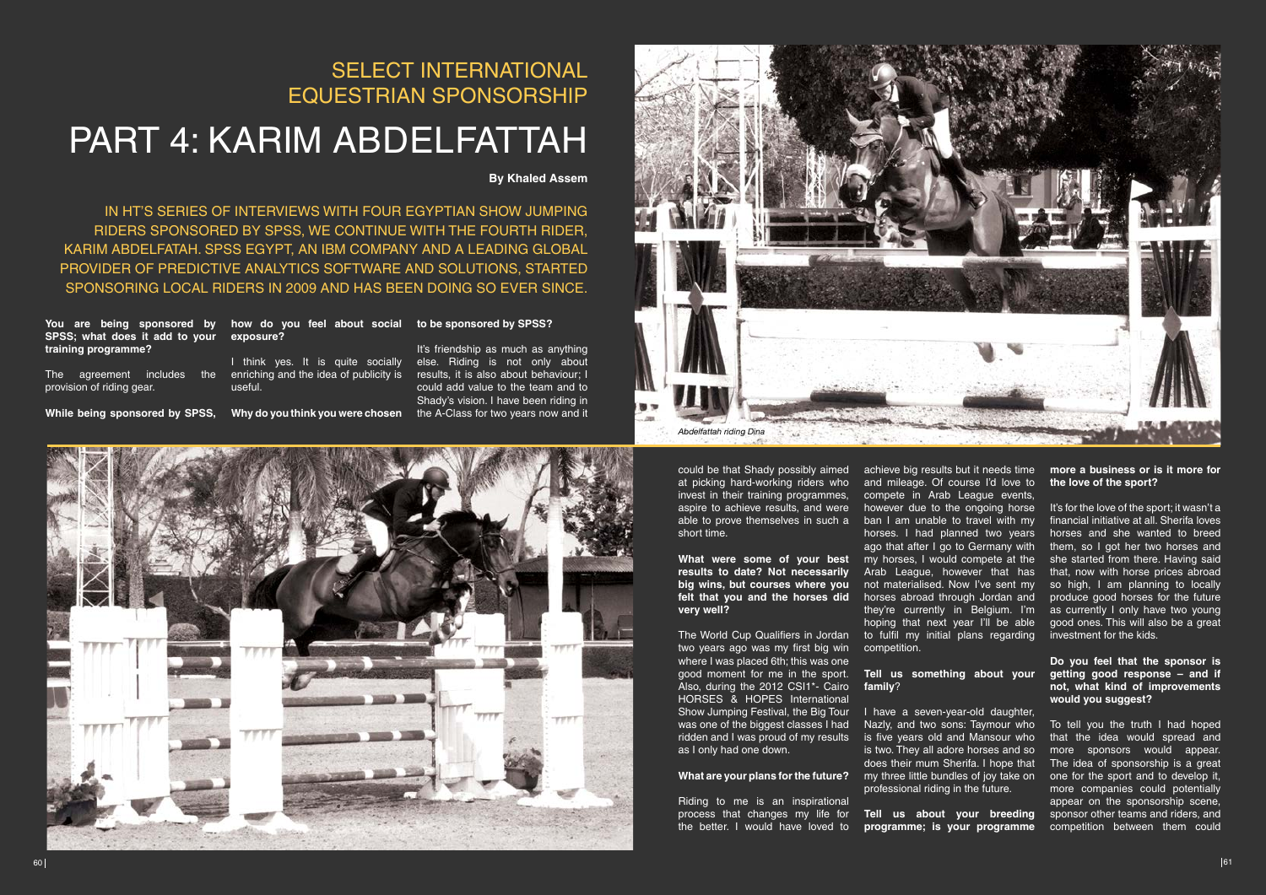**You are being sponsored by how do you feel about social to be sponsored by SPSS? SPSS; what does it add to your exposure? training programme?** 

provision of riding gear.

## SELECT INTERNATIONAL EQUESTRIAN SPONSORSHIP

# PART 4: KARIM ABDELFAtTAH

**By Khaled Assem**

The agreement includes the enriching and the idea of publicity is I think yes. It is quite socially useful.

While being sponsored by SPSS, Why do you think you were chosen the A-Class for two years now and it

IN HT'S SERIES OF INTERVIEWS WITH FOUR EGYPTIAN SHOW JUMPING RIDERS SPONSORED BY SPSS, WE CONTINUE WITH THE FOURTH RIDER, KARIM ABDELFATAH. SPSS EGYPT, AN IBM COMPANY AND A LEADING GLOBAL PROVIDER OF PREDICTIVE ANALYTICS SOFTWARE AND SOLUTIONS, STARTED SPONSORING LOCAL RIDERS IN 2009 AND HAS BEEN DOING SO EVER SINCE.

> It's friendship as much as anything else. Riding is not only about results, it is also about behaviour; I could add value to the team and to Shady's vision. I have been riding in



Riding to me is an inspirational process that changes my life for **Tell us about your breeding**  the better. I would have loved to **programme; is your programme** 

at picking hard-working riders who invest in their training programmes. aspire to achieve results, and were short time.

**results to date? Not necessarily big wins, but courses where you very well?**

What are your plans for the future? my three little bundles of joy take on one for the sport and to develop it, To tell you the truth I had hoped that the idea would spread and more sponsors would appear. The idea of sponsorship is a great more companies could potentially appear on the sponsorship scene, sponsor other teams and riders, and competition between them could

two years ago was my first big win where I was placed 6th; this was one good moment for me in the sport. Also, during the 2012 CSI1\*- Cairo HORSES & HOPES International Show Jumping Festival, the Big Tour was one of the biggest classes I had ridden and I was proud of my results is five years old and Mansour who as I only had one down.

could be that Shady possibly aimed achieve big results but it needs time **more a business or is it more for** able to prove themselves in such a ban I am unable to travel with my **What were some of your best**  my horses, I would compete at the **felt that you and the horses did**  horses abroad through Jordan and The World Cup Qualifiers in Jordan to fulfil my initial plans regarding and mileage. Of course I'd love to compete in Arab League events, however due to the ongoing horse horses. I had planned two years ago that after I go to Germany with Arab League, however that has not materialised. Now I've sent my hoping that next year I'll be able competition.

## **the love of the sport?**

It's for the love of the sport; it wasn't a financial initiative at all. Sherifa loves horses and she wanted to breed them, so I got her two horses and she started from there. Having said that, now with horse prices abroad so high, I am planning to locally produce good horses for the future they're currently in Belgium. I'm as currently I only have two young good ones. This will also be a great investment for the kids.

#### **Do you feel that the sponsor is getting good response – and if not, what kind of improvements would you suggest?**

#### **Tell us something about your family**?

I have a seven-year-old daughter, Nazly, and two sons: Taymour who is two. They all adore horses and so does their mum Sherifa. I hope that professional riding in the future.